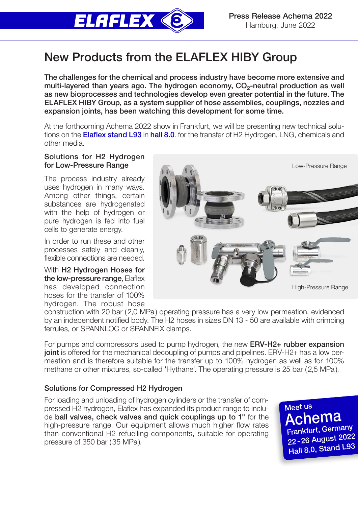

# New Products from the ELAFLEX HIBY Group

The challenges for the chemical and process industry have become more extensive and multi-layered than years ago. The hydrogen economy,  $CO<sub>2</sub>$ -neutral production as well as new bioprocesses and technologies develop even greater potential in the future. The ELAFLEX HIBY Group, as a system supplier of hose assemblies, couplings, nozzles and expansion joints, has been watching this development for some time.

At the forthcoming Achema 2022 show in Frankfurt, we will be presenting new technical solutions on the **Elaflex stand L93** in hall 8.0. for the transfer of H2 Hydrogen, LNG, chemicals and other media.

## Solutions for H2 Hydrogen for Low-Pressure Range

The process industry already uses hydrogen in many ways. Among other things, certain substances are hydrogenated with the help of hydrogen or pure hydrogen is fed into fuel cells to generate energy.

In order to run these and other processes safely and cleanly, flexible connections are needed.

With H2 Hydrogen Hoses for the low-pressure range, Elaflex has developed connection hoses for the transfer of 100% hydrogen. The robust hose



construction with 20 bar (2,0 MPa) operating pressure has a very low permeation, evidenced by an independent notified body. The H2 hoses in sizes DN 13 - 50 are available with crimping ferrules, or SPANNLOC or SPANNFIX clamps.

For pumps and compressors used to pump hydrogen, the new **ERV-H2+ rubber expansion** joint is offered for the mechanical decoupling of pumps and pipelines. ERV-H2+ has a low permeation and is therefore suitable for the transfer up to 100% hydrogen as well as for 100% methane or other mixtures, so-called 'Hythane'. The operating pressure is 25 bar (2,5 MPa).

# Solutions for Compressed H2 Hydrogen

For loading and unloading of hydrogen cylinders or the transfer of compressed H2 hydrogen, Elaflex has expanded its product range to include ball valves, check valves and quick couplings up to 1" for the high-pressure range. Our equipment allows much higher flow rates than conventional H2 refuelling components, suitable for operating pressure of 350 bar (35 MPa).

Frankfurt, Germany 22-26 August 2022 Hall 8.0, Stand L93 Achema Meet us